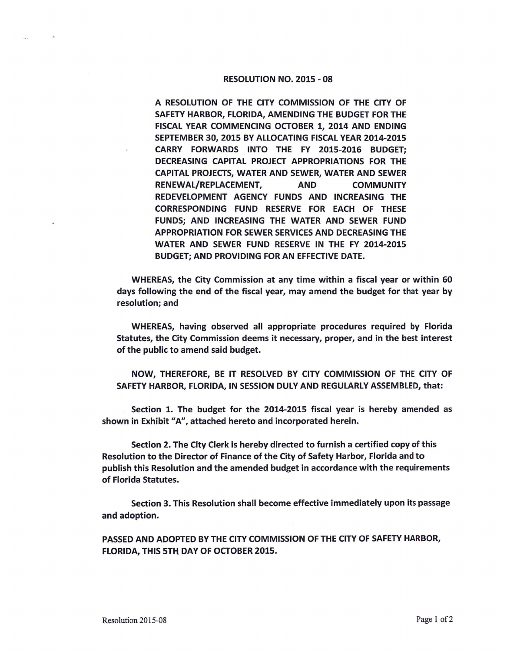## RESOLUTION NO. 2015 - 08

A RESOLUTION OF THE CITY COMMISSION OF THE CITY OF SAFETY HARBOR, FLORIDA, AMENDING THE BUDGET FOR THE FISCAL YEAR COMMENCING OCTOBER 1, 2014 AND ENDING SEPTEMBER 30, 2015 BY ALLOCATING FISCAL YEAR 2014-2015 CARRY FORWARDS INTO THE FY 2015-2016 BUDGET; DECREASING CAPITAL PROJECT APPROPRIATIONS FOR THE CAPITAL PROJECTS, WATER AND SEWER, WATER AND SEWER RENEWAL/REPLACEMENT, AND COMMUNITY REDEVELOPMENT AGENCY FUNDS AND INCREASING THE CORRESPONDING FUND RESERVE FOR EACH OF THESE FUNDS; AND INCREASING THE WATER AND SEWER FUND APPROPRIATION FOR SEWER SERVICES AND DECREASING THE WATER AND SEWER FUND RESERVE IN THE FY 2014-2015 BUDGET; AND PROVIDING FOR AN EFFECTIVE DATE.

WHEREAS, the City Commission at any time within a fiscal year or within 60 days following the end of the fiscal year, may amend the budget for that year by resolution; and

WHEREAS, having observed all appropriate procedures required by Florida Statutes, the City Commission deems it necessary, proper, and in the best interest of the public to amend said budget.

NOW, THEREFORE, BE IT RESOLVED BY CITY COMMISSION OF THE CITY OF SAFETY HARBOR, FLORIDA, IN SESSION DULY AND REGULARLY ASSEMBLED, that:

Section 1. The budget for the 2014-2015 fiscal year is hereby amended as shown in Exhibit "A", attached hereto and incorporated herein.

Section 2. The City Clerk is hereby directed to furnish a certified copy of this Resolution to the Director of Finance of the City of Safety Harbor, Florida and to publish this Resolution and the amended budget in accordance with the requirements of Florida Statutes.

Section 3. This Resolution shall become effective immediately upon its passage and adoption.

PASSED AND ADOPTED BY THE CITY COMMISSION OF THE CITY OF SAFETY HARBOR, FLORIDA, THIS 5TH DAY OF OCTOBER 2015.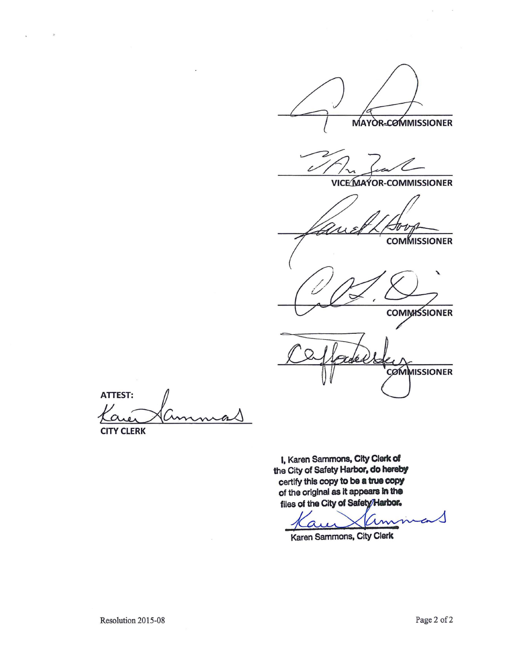MAYOR-COMMISSIONER

**VICE MAYOR-COMMISSIONER** 

**COMMISSIONER** 

**COMMISSIONER** 

**COMMISSIONER** 

ATTEST:<br>Karen Cummas

I, Karen Sammons. City Clerk of the City of Safety Harbor, do hereby certify this copy to **be a true copy**  of the original as It appears In **the**  files of the City of Safety/Harbor.

Karen Sammons, City Clerk